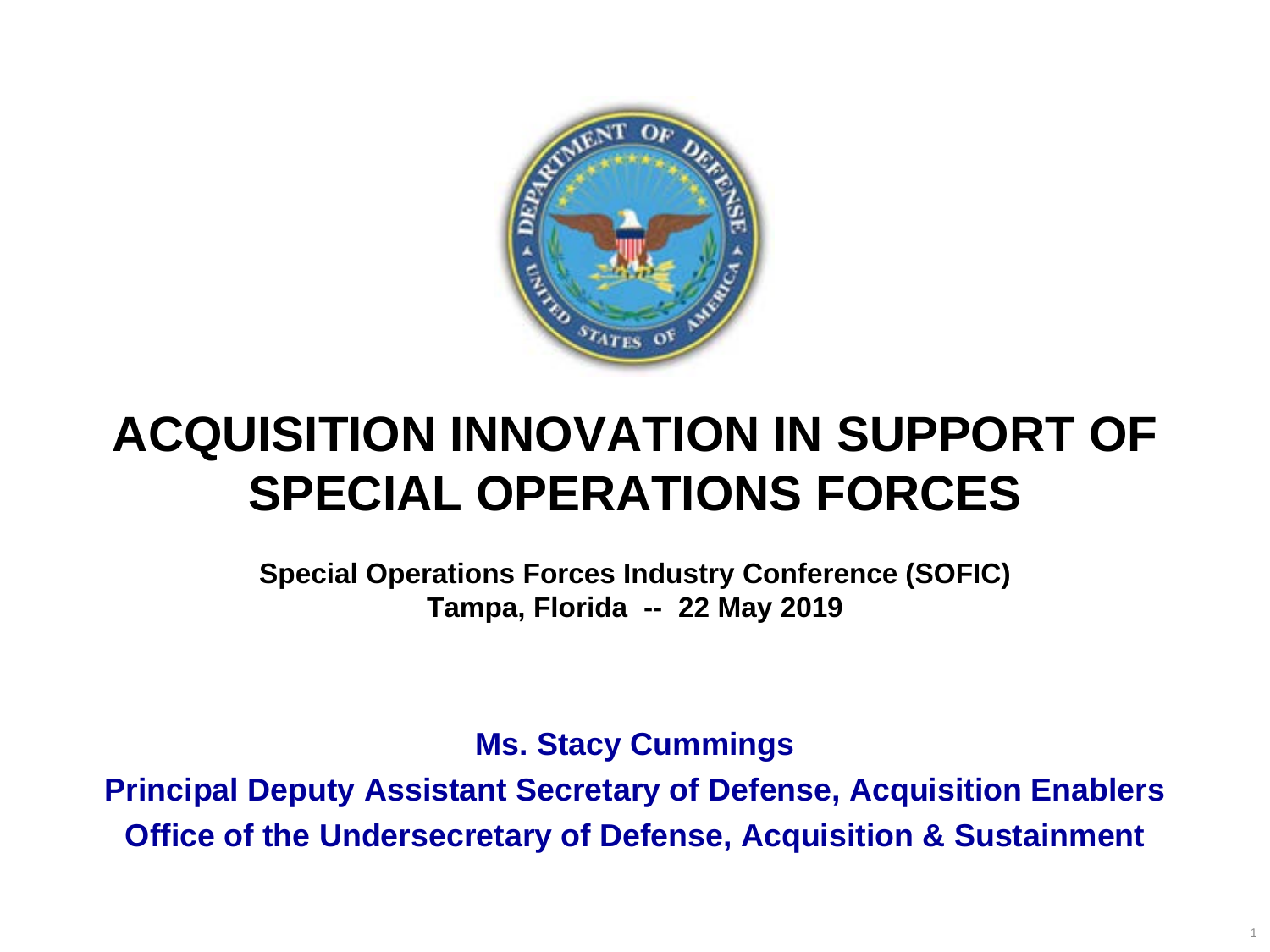

#### **ACQUISITION INNOVATION IN SUPPORT OF SPECIAL OPERATIONS FORCES**

**Special Operations Forces Industry Conference (SOFIC) Tampa, Florida -- 22 May 2019**

**Ms. Stacy Cummings**

**Principal Deputy Assistant Secretary of Defense, Acquisition Enablers Office of the Undersecretary of Defense, Acquisition & Sustainment**

1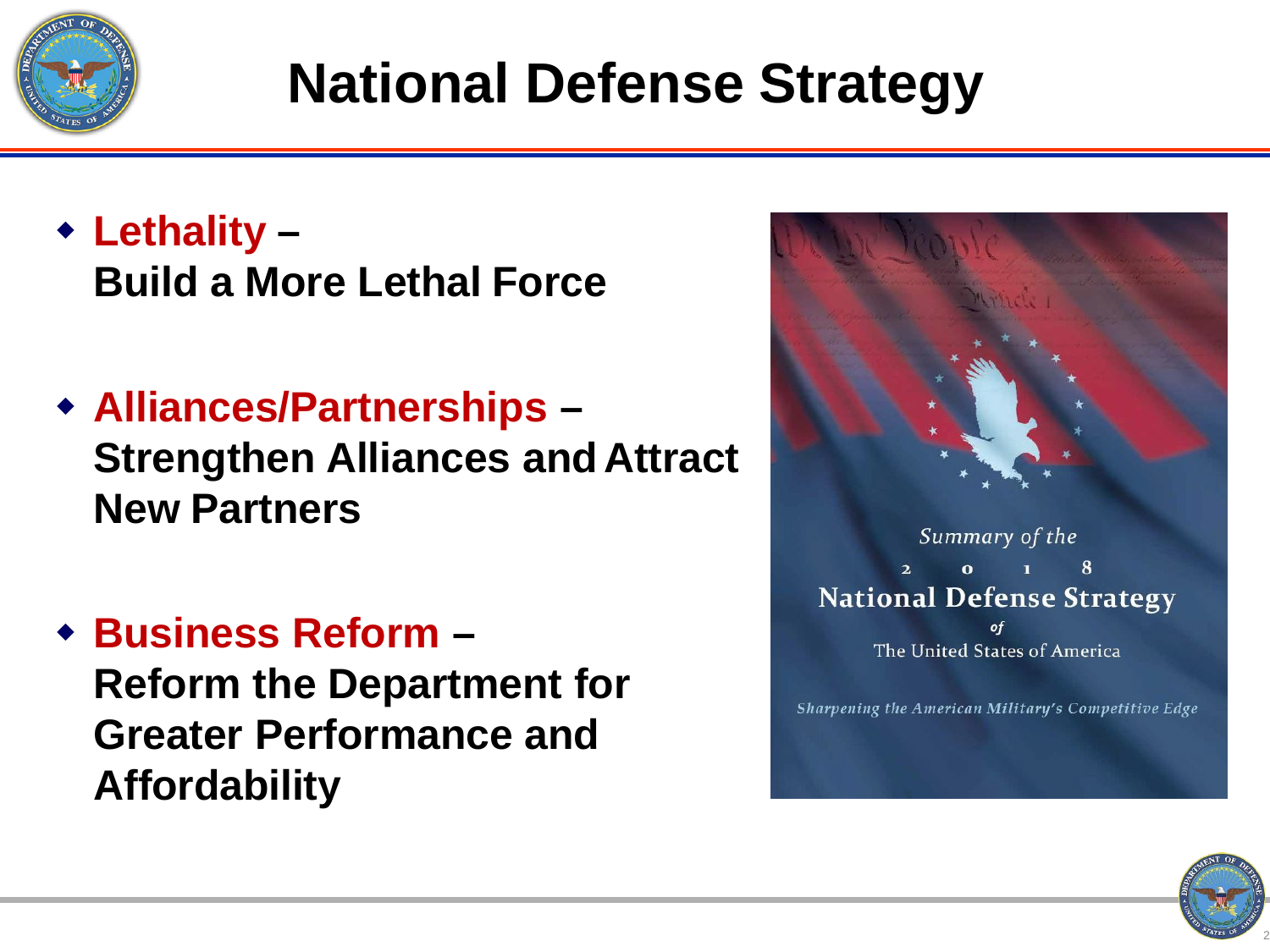

## **National Defense Strategy**

- **Lethality – Build a More Lethal Force**
- **Alliances/Partnerships – Strengthen Alliances andAttract New Partners**
- **Business Reform –**

**Reform the Department for Greater Performance and Affordability**



The United States of America

Sharpening the American Military's Competitive Edge

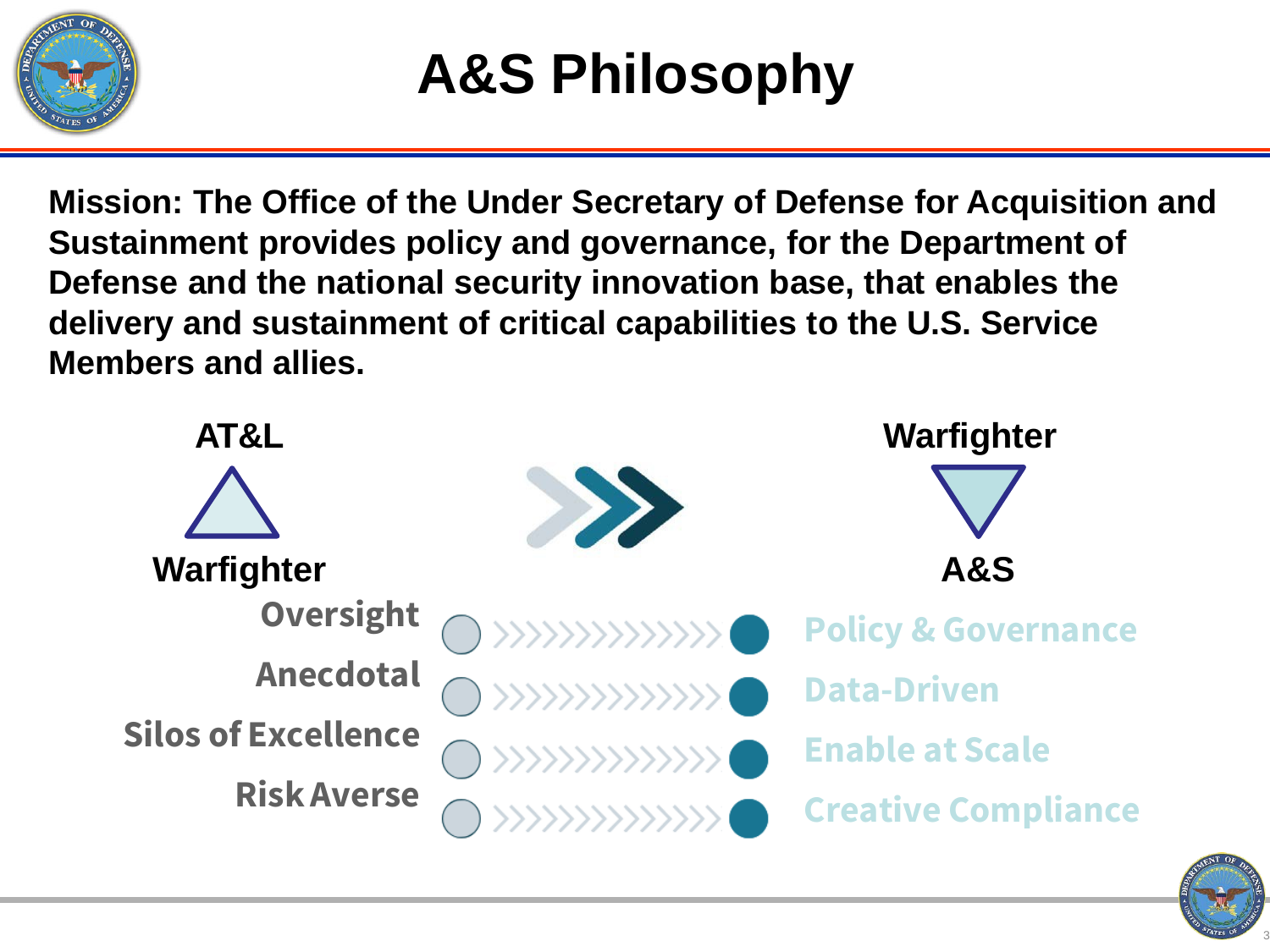

## **A&S Philosophy**

**Mission: The Office of the Under Secretary of Defense for Acquisition and Sustainment provides policy and governance, for the Department of Defense and the national security innovation base, that enables the delivery and sustainment of critical capabilities to the U.S. Service Members and allies.**



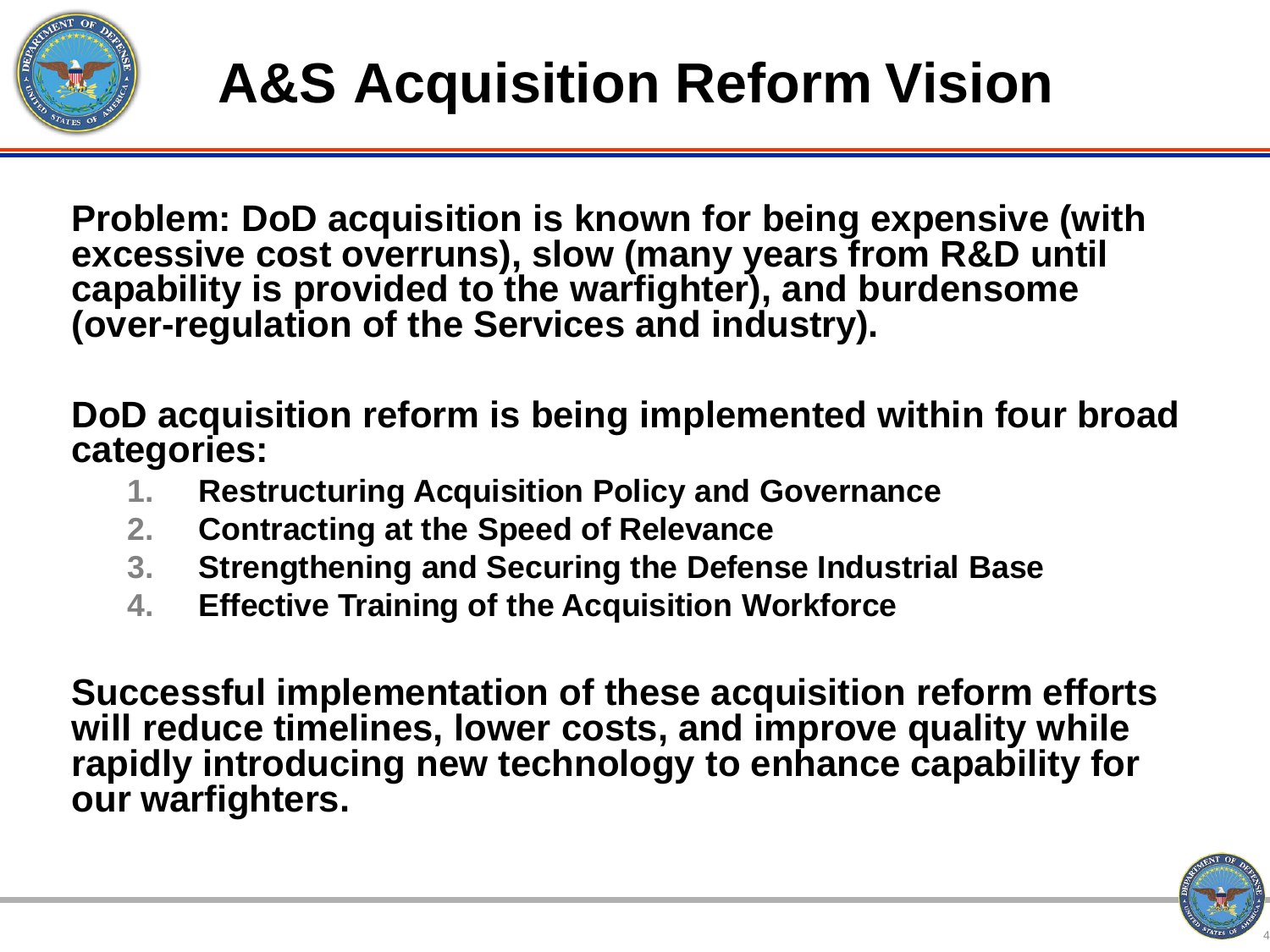

**Problem: DoD acquisition is known for being expensive (with excessive cost overruns), slow (many years from R&D until capability is provided to the warfighter), and burdensome (over-regulation of the Services and industry).**

**DoD acquisition reform is being implemented within four broad categories:**

- **1. Restructuring Acquisition Policy and Governance**
- **2. Contracting at the Speed of Relevance**
- **3. Strengthening and Securing the Defense Industrial Base**
- **4. Effective Training of the Acquisition Workforce**

**Successful implementation of these acquisition reform efforts will reduce timelines, lower costs, and improve quality while rapidly introducing new technology to enhance capability for our warfighters.**

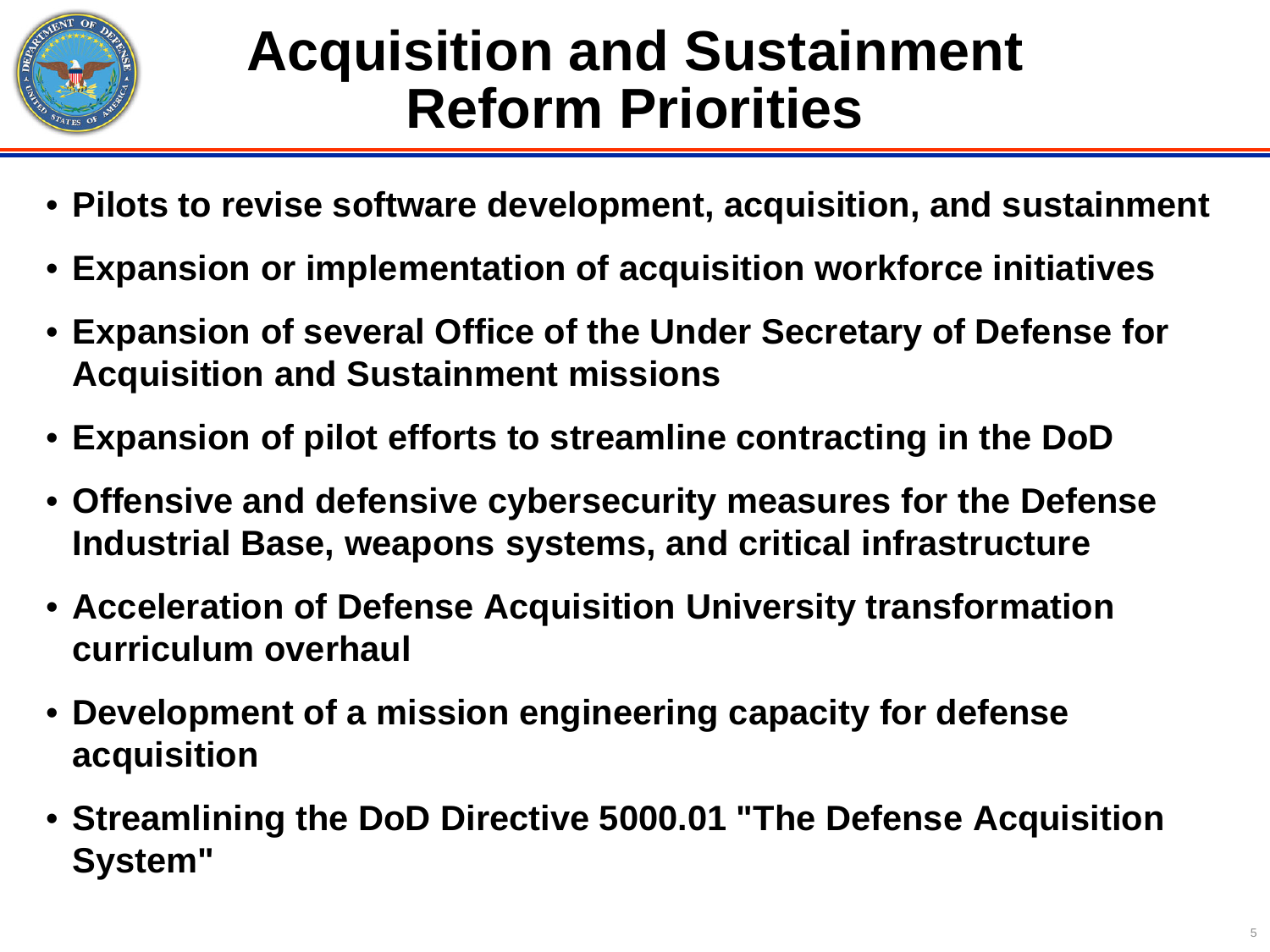

### **Acquisition and Sustainment Reform Priorities**

- **Pilots to revise software development, acquisition, and sustainment**
- **Expansion or implementation of acquisition workforce initiatives**
- **Expansion of several Office of the Under Secretary of Defense for Acquisition and Sustainment missions**
- **Expansion of pilot efforts to streamline contracting in the DoD**
- **Offensive and defensive cybersecurity measures for the Defense Industrial Base, weapons systems, and critical infrastructure**
- **Acceleration of Defense Acquisition University transformation curriculum overhaul**
- **Development of a mission engineering capacity for defense acquisition**
- **Streamlining the DoD Directive 5000.01 "The Defense Acquisition System"**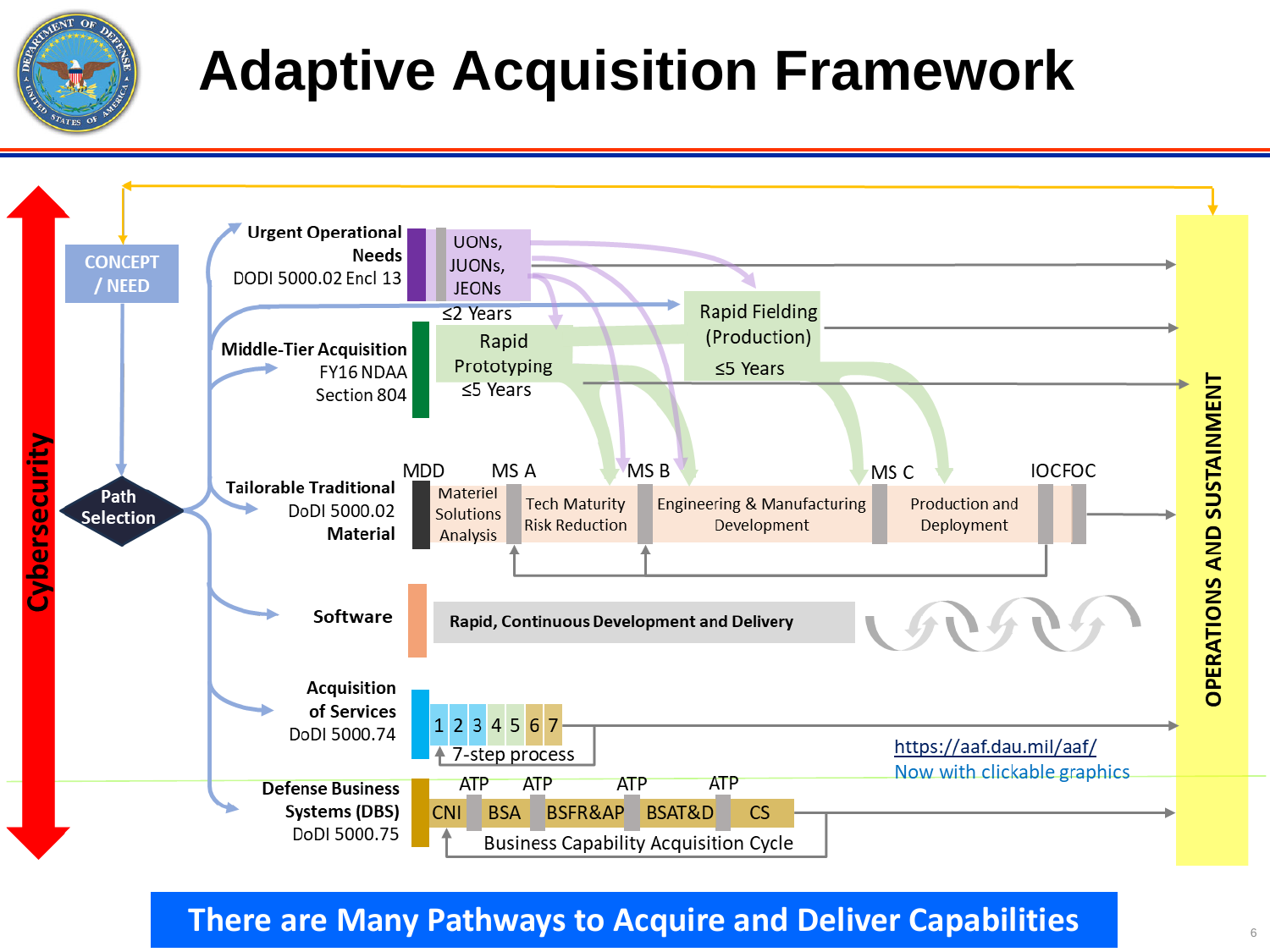

## **Adaptive Acquisition Framework**



**There are Many Pathways to Acquire and Deliver Capabilities** <sup>6</sup>